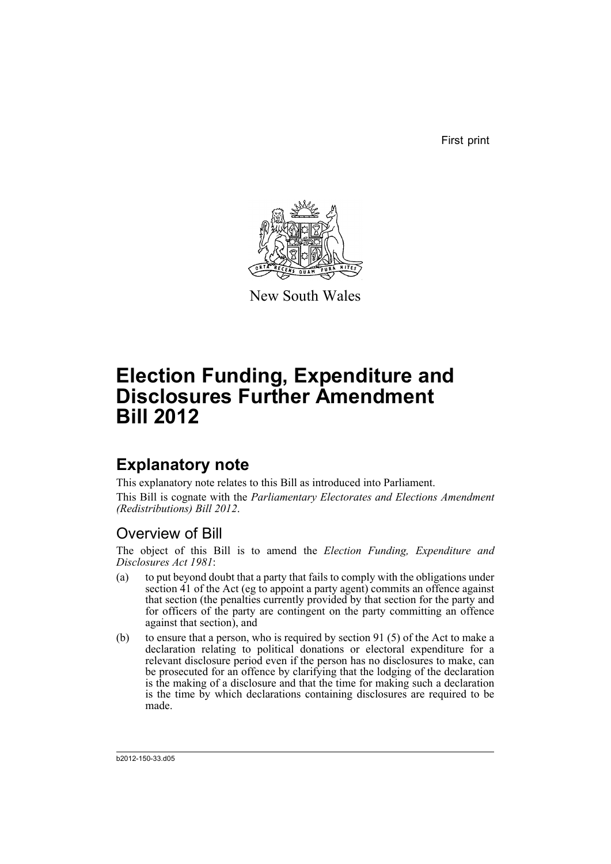First print



New South Wales

# **Election Funding, Expenditure and Disclosures Further Amendment Bill 2012**

## **Explanatory note**

This explanatory note relates to this Bill as introduced into Parliament. This Bill is cognate with the *Parliamentary Electorates and Elections Amendment (Redistributions) Bill 2012*.

## Overview of Bill

The object of this Bill is to amend the *Election Funding, Expenditure and Disclosures Act 1981*:

- (a) to put beyond doubt that a party that fails to comply with the obligations under section 41 of the Act (eg to appoint a party agent) commits an offence against that section (the penalties currently provided by that section for the party and for officers of the party are contingent on the party committing an offence against that section), and
- (b) to ensure that a person, who is required by section 91 (5) of the Act to make a declaration relating to political donations or electoral expenditure for a relevant disclosure period even if the person has no disclosures to make, can be prosecuted for an offence by clarifying that the lodging of the declaration is the making of a disclosure and that the time for making such a declaration is the time by which declarations containing disclosures are required to be made.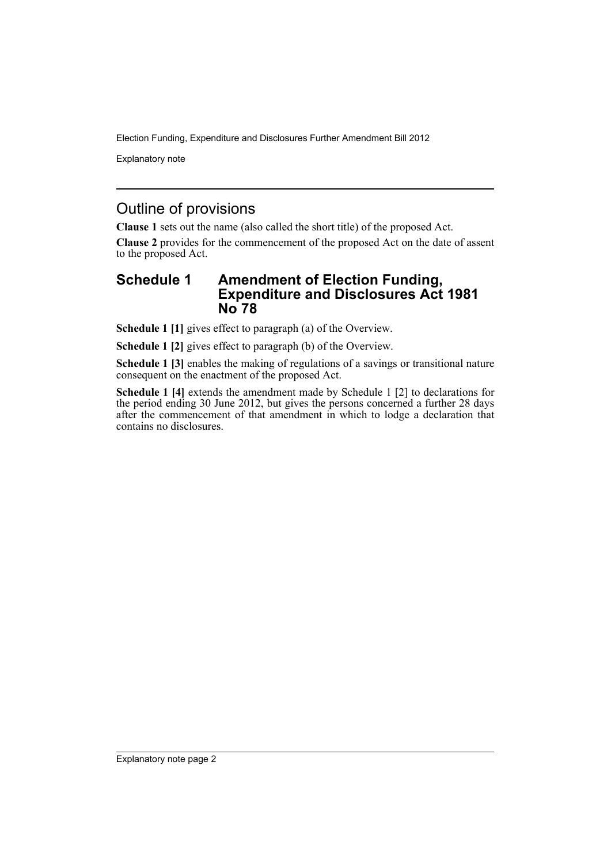Election Funding, Expenditure and Disclosures Further Amendment Bill 2012

Explanatory note

## Outline of provisions

**Clause 1** sets out the name (also called the short title) of the proposed Act.

**Clause 2** provides for the commencement of the proposed Act on the date of assent to the proposed Act.

### **Schedule 1 Amendment of Election Funding, Expenditure and Disclosures Act 1981 No 78**

**Schedule 1 [1]** gives effect to paragraph (a) of the Overview.

**Schedule 1 [2]** gives effect to paragraph (b) of the Overview.

**Schedule 1 [3]** enables the making of regulations of a savings or transitional nature consequent on the enactment of the proposed Act.

**Schedule 1 [4]** extends the amendment made by Schedule 1 [2] to declarations for the period ending 30 June 2012, but gives the persons concerned a further 28 days after the commencement of that amendment in which to lodge a declaration that contains no disclosures.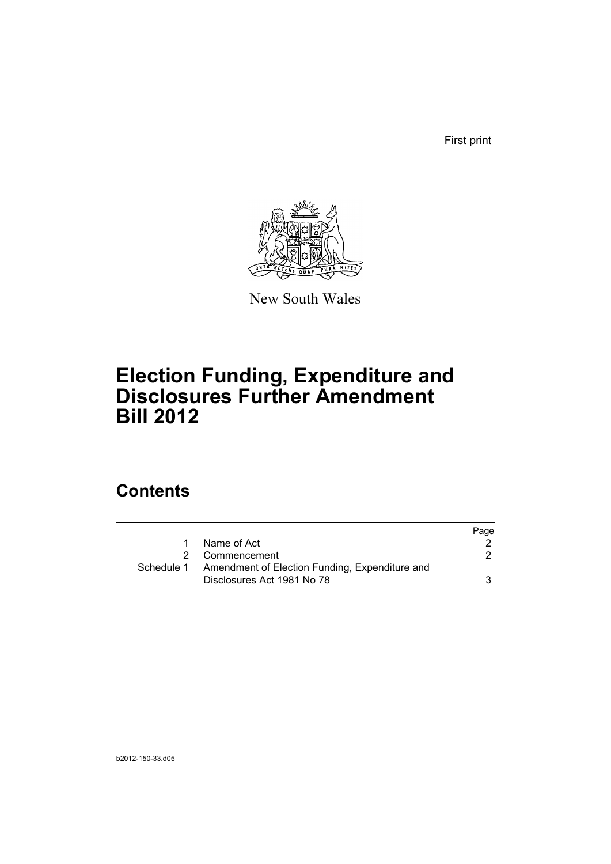First print



New South Wales

# **Election Funding, Expenditure and Disclosures Further Amendment Bill 2012**

## **Contents**

|            |                                                | Page |
|------------|------------------------------------------------|------|
| 1          | Name of Act                                    |      |
|            | 2 Commencement                                 |      |
| Schedule 1 | Amendment of Election Funding, Expenditure and |      |
|            | Disclosures Act 1981 No 78                     | 3    |
|            |                                                |      |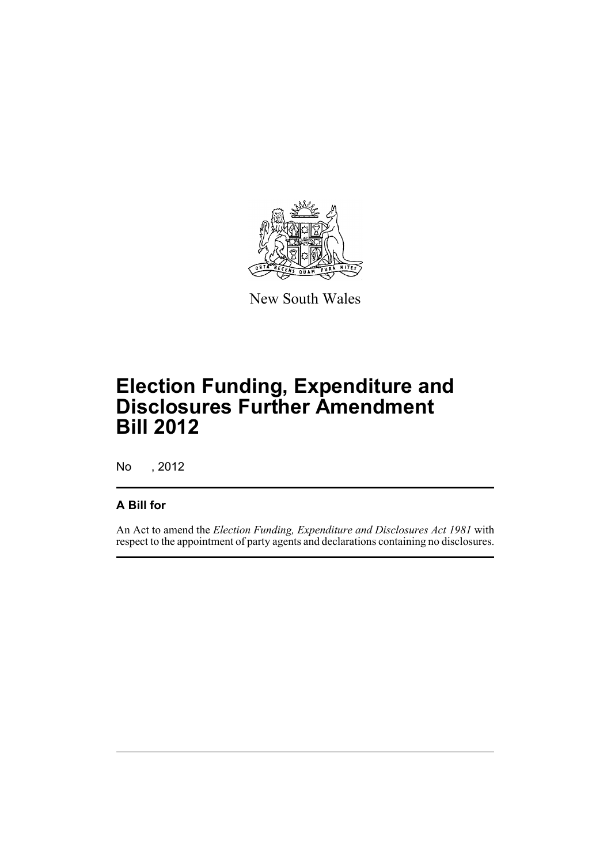

New South Wales

# **Election Funding, Expenditure and Disclosures Further Amendment Bill 2012**

No , 2012

### **A Bill for**

An Act to amend the *Election Funding, Expenditure and Disclosures Act 1981* with respect to the appointment of party agents and declarations containing no disclosures.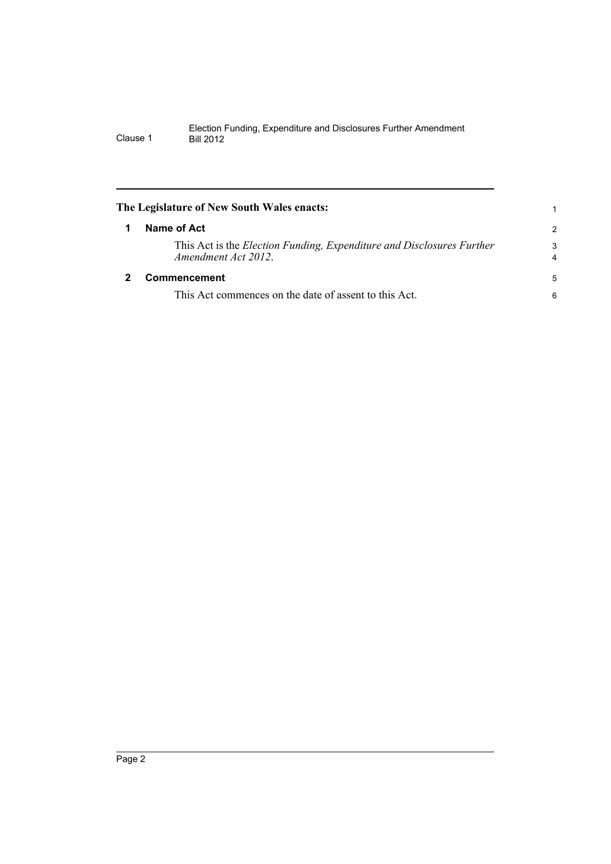#### Election Funding, Expenditure and Disclosures Further Amendment Clause 1 Bill 2012

<span id="page-5-1"></span><span id="page-5-0"></span>

| The Legislature of New South Wales enacts:                                                   | 1                            |
|----------------------------------------------------------------------------------------------|------------------------------|
| Name of Act                                                                                  | $\mathcal{P}$                |
| This Act is the Election Funding, Expenditure and Disclosures Further<br>Amendment Act 2012. | 3<br>$\overline{\mathbf{4}}$ |
| Commencement                                                                                 | 5                            |
| This Act commences on the date of assent to this Act.                                        | 6                            |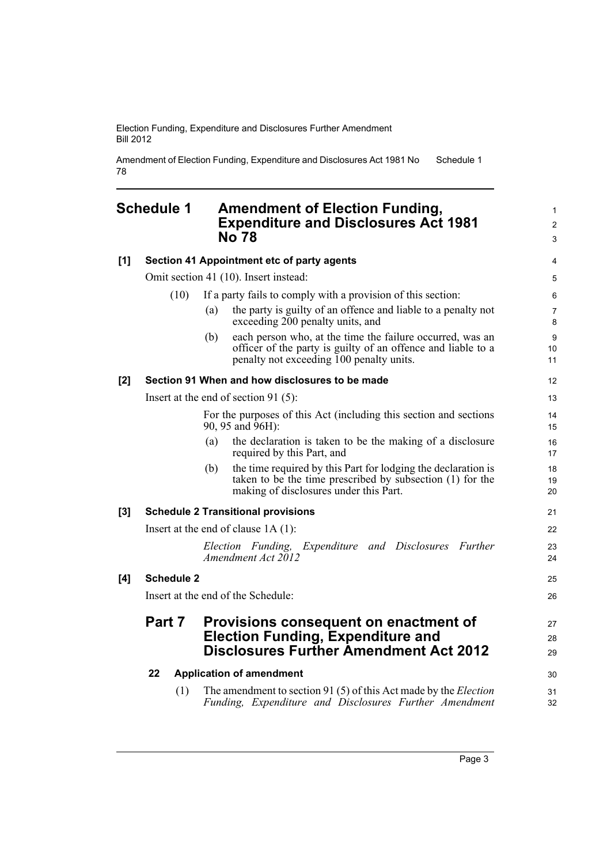Election Funding, Expenditure and Disclosures Further Amendment Bill 2012

Amendment of Election Funding, Expenditure and Disclosures Act 1981 No 78 Schedule 1

#### <span id="page-6-0"></span>**Schedule 1 Amendment of Election Funding, Expenditure and Disclosures Act 1981 No 78**

| [1]   |                                       | Section 41 Appointment etc of party agents                                                                                                                                   | 4                            |
|-------|---------------------------------------|------------------------------------------------------------------------------------------------------------------------------------------------------------------------------|------------------------------|
|       | Omit section 41 (10). Insert instead: |                                                                                                                                                                              | 5                            |
|       | (10)                                  | If a party fails to comply with a provision of this section:                                                                                                                 | 6                            |
|       |                                       | the party is guilty of an offence and liable to a penalty not<br>(a)<br>exceeding 200 penalty units, and                                                                     | $\overline{7}$<br>8          |
|       |                                       | each person who, at the time the failure occurred, was an<br>(b)<br>officer of the party is guilty of an offence and liable to a<br>penalty not exceeding 100 penalty units. | $\boldsymbol{9}$<br>10<br>11 |
| [2]   |                                       | Section 91 When and how disclosures to be made                                                                                                                               | 12                           |
|       |                                       | Insert at the end of section 91 (5):                                                                                                                                         | 13                           |
|       |                                       | For the purposes of this Act (including this section and sections<br>90, 95 and 96H):                                                                                        | 14<br>15                     |
|       |                                       | the declaration is taken to be the making of a disclosure<br>(a)<br>required by this Part, and                                                                               | 16<br>17                     |
|       |                                       | the time required by this Part for lodging the declaration is<br>(b)<br>taken to be the time prescribed by subsection (1) for the<br>making of disclosures under this Part.  | 18<br>19<br>20               |
| $[3]$ |                                       | <b>Schedule 2 Transitional provisions</b>                                                                                                                                    | 21                           |
|       | Insert at the end of clause $1A(1)$ : |                                                                                                                                                                              | 22                           |
|       |                                       | Election Funding, Expenditure and Disclosures Further<br>Amendment Act 2012                                                                                                  | 23<br>24                     |
| [4]   | <b>Schedule 2</b>                     |                                                                                                                                                                              | 25                           |
|       | Insert at the end of the Schedule:    |                                                                                                                                                                              | 26                           |
|       | Part 7                                | Provisions consequent on enactment of<br><b>Election Funding, Expenditure and</b><br><b>Disclosures Further Amendment Act 2012</b>                                           | 27<br>28<br>29               |
|       | 22                                    | <b>Application of amendment</b>                                                                                                                                              | 30                           |
|       | (1)                                   | The amendment to section 91 (5) of this Act made by the <i>Election</i><br>Funding, Expenditure and Disclosures Further Amendment                                            | 31<br>32                     |

1 2 3